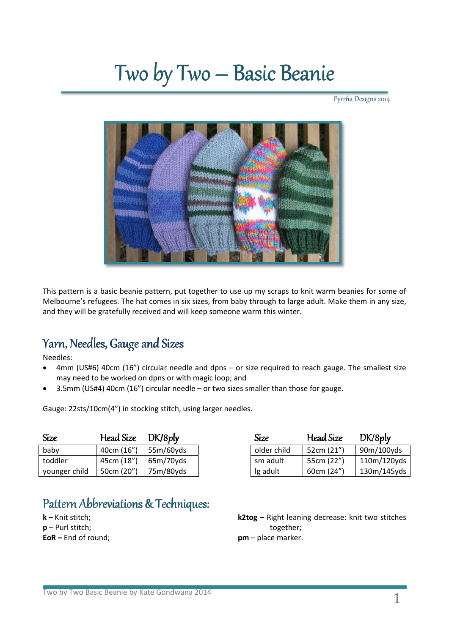# Two by Two – Basic Beanie

Pyrrha Designs 2014



This pattern is a basic beanie pattern, put together to use up my scraps to knit warm beanies for some of Melbourne's refugees. The hat comes in six sizes, from baby through to large adult. Make them in any size, and they will be gratefully received and will keep someone warm this winter.

## Yarn, Needles, Gauge and Sizes

Needles:

- 4mm (US#6) 40cm (16") circular needle and dpns or size required to reach gauge. The smallest size may need to be worked on dpns or with magic loop; and
- 3.5mm (US#4) 40cm (16") circular needle or two sizes smaller than those for gauge.

Gauge: 22sts/10cm(4") in stocking stitch, using larger needles.

| Size          | Head Size  | DK/8p     | Size        | Head Size  | DK/8p      |
|---------------|------------|-----------|-------------|------------|------------|
| baby          | 40cm (16") | 55m/60yds | older child | 52cm (21") | 90m/100yds |
| toddler       | 45cm (18") | 65m/70yds | sm adult    | 55cm (22") | 110m/120yo |
| younger child | 50cm (20") | 75m/80yds | Ig adult    | 60cm (24") | 130m/145yo |

# Pattern Abbreviations & Techniques:

**k** – Knit stitch; **p** – Purl stitch; **EoR –** End of round;

| Size          | Head Size  | DK/8pV    | Size        | Head Size  | DK/8p       |
|---------------|------------|-----------|-------------|------------|-------------|
| baby          | 40cm (16") | 55m/60yds | older child | 52cm (21") | 90m/100yds  |
| toddler       | 45cm (18") | 65m/70yds | sm adult    | 55cm (22") | 110m/120yds |
| younger child | 50cm (20") | 75m/80yds | Ig adult    | 60cm (24") | 130m/145yds |

**k2tog** – Right leaning decrease: knit two stitches together; **pm** – place marker.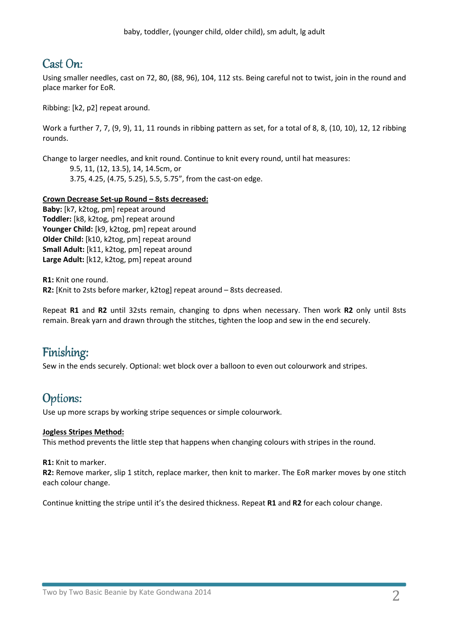## Cast On:

Using smaller needles, cast on 72, 80, (88, 96), 104, 112 sts. Being careful not to twist, join in the round and place marker for EoR.

Ribbing: [k2, p2] repeat around.

Work a further 7, 7, (9, 9), 11, 11 rounds in ribbing pattern as set, for a total of 8, 8, (10, 10), 12, 12 ribbing rounds.

Change to larger needles, and knit round. Continue to knit every round, until hat measures:

9.5, 11, (12, 13.5), 14, 14.5cm, or 3.75, 4.25, (4.75, 5.25), 5.5, 5.75", from the cast-on edge.

#### **Crown Decrease Set-up Round – 8sts decreased:**

**Baby:** [k7, k2tog, pm] repeat around **Toddler:** [k8, k2tog, pm] repeat around **Younger Child:** [k9, k2tog, pm] repeat around **Older Child:** [k10, k2tog, pm] repeat around **Small Adult:** [k11, k2tog, pm] repeat around **Large Adult:** [k12, k2tog, pm] repeat around

**R1:** Knit one round. **R2:** [Knit to 2sts before marker, k2tog] repeat around – 8sts decreased.

Repeat **R1** and **R2** until 32sts remain, changing to dpns when necessary. Then work **R2** only until 8sts remain. Break yarn and drawn through the stitches, tighten the loop and sew in the end securely.

## Finishing:

Sew in the ends securely. Optional: wet block over a balloon to even out colourwork and stripes.

### Options:

Use up more scraps by working stripe sequences or simple colourwork.

#### **Jogless Stripes Method:**

This method prevents the little step that happens when changing colours with stripes in the round.

**R1:** Knit to marker.

**R2:** Remove marker, slip 1 stitch, replace marker, then knit to marker. The EoR marker moves by one stitch each colour change.

Continue knitting the stripe until it's the desired thickness. Repeat **R1** and **R2** for each colour change.